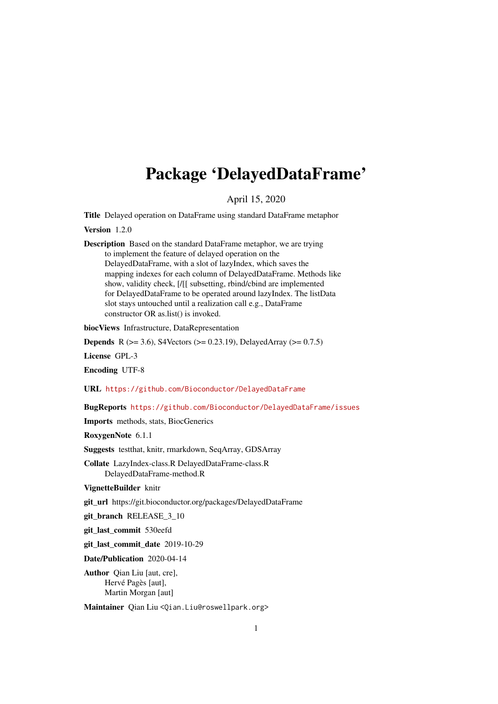## Package 'DelayedDataFrame'

April 15, 2020

Title Delayed operation on DataFrame using standard DataFrame metaphor

Version 1.2.0

Description Based on the standard DataFrame metaphor, we are trying to implement the feature of delayed operation on the DelayedDataFrame, with a slot of lazyIndex, which saves the mapping indexes for each column of DelayedDataFrame. Methods like show, validity check, [/[[ subsetting, rbind/cbind are implemented for DelayedDataFrame to be operated around lazyIndex. The listData slot stays untouched until a realization call e.g., DataFrame constructor OR as.list() is invoked.

biocViews Infrastructure, DataRepresentation

**Depends** R ( $>= 3.6$ ), S4Vectors ( $>= 0.23.19$ ), DelayedArray ( $>= 0.7.5$ )

License GPL-3

Encoding UTF-8

URL <https://github.com/Bioconductor/DelayedDataFrame>

BugReports <https://github.com/Bioconductor/DelayedDataFrame/issues>

Imports methods, stats, BiocGenerics

RoxygenNote 6.1.1

Suggests testthat, knitr, rmarkdown, SeqArray, GDSArray

Collate LazyIndex-class.R DelayedDataFrame-class.R DelayedDataFrame-method.R

VignetteBuilder knitr

git\_url https://git.bioconductor.org/packages/DelayedDataFrame

git\_branch RELEASE\_3\_10

git\_last\_commit 530eefd

git\_last\_commit\_date 2019-10-29

Date/Publication 2020-04-14

Author Qian Liu [aut, cre], Hervé Pagès [aut], Martin Morgan [aut]

Maintainer Qian Liu <Qian.Liu@roswellpark.org>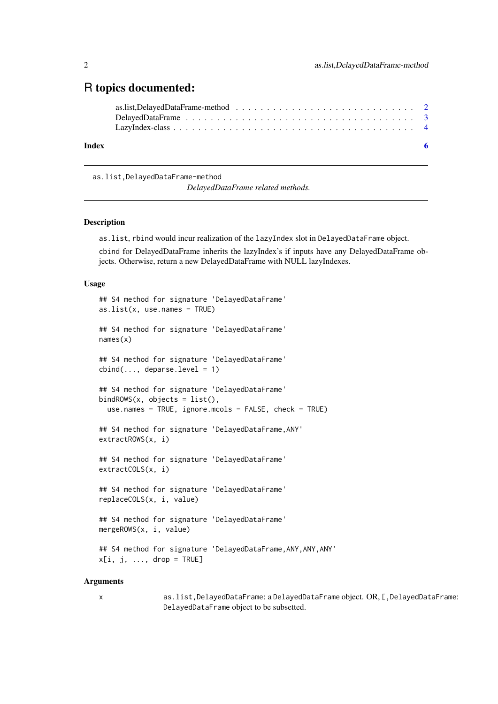### <span id="page-1-0"></span>R topics documented:

| Index | - 6 |
|-------|-----|
|       |     |
|       |     |

as.list,DelayedDataFrame-method

*DelayedDataFrame related methods.*

#### Description

as.list, rbind would incur realization of the lazyIndex slot in DelayedDataFrame object.

cbind for DelayedDataFrame inherits the lazyIndex's if inputs have any DelayedDataFrame objects. Otherwise, return a new DelayedDataFrame with NULL lazyIndexes.

#### Usage

```
## S4 method for signature 'DelayedDataFrame'
as.list(x, use.name = TRUE)## S4 method for signature 'DelayedDataFrame'
names(x)
## S4 method for signature 'DelayedDataFrame'
cbind(..., deparse.level = 1)## S4 method for signature 'DelayedDataFrame'
bindROWS(x, objects = list(),
 use.names = TRUE, ignore.mcols = FALSE, check = TRUE)
## S4 method for signature 'DelayedDataFrame,ANY'
extractROWS(x, i)
## S4 method for signature 'DelayedDataFrame'
extractCOLS(x, i)
## S4 method for signature 'DelayedDataFrame'
replaceCOLS(x, i, value)
## S4 method for signature 'DelayedDataFrame'
mergeROWS(x, i, value)
## S4 method for signature 'DelayedDataFrame, ANY, ANY, ANY'
x[i, j, ..., drop = TRUE]
```
#### Arguments

| as.list, DelayedDataFrame: a DelayedDataFrame object. OR, [, DelayedDataFrame: |
|--------------------------------------------------------------------------------|
| DelayedDataFrame object to be subsetted.                                       |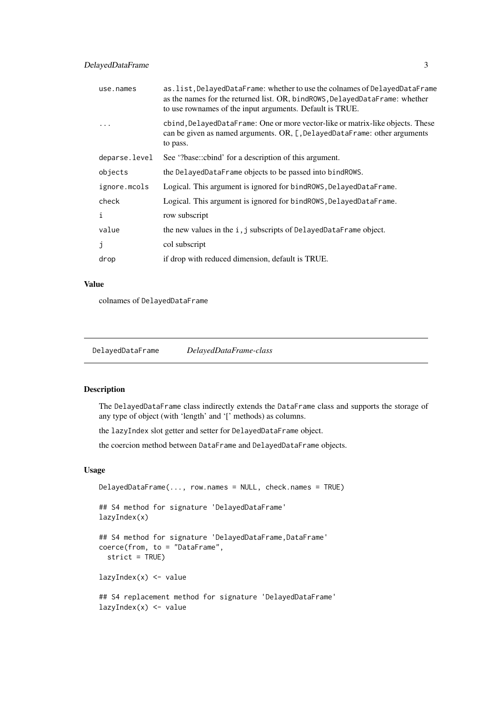<span id="page-2-0"></span>

| use.names     | as.list, DelayedDataFrame: whether to use the colnames of DelayedDataFrame<br>as the names for the returned list. OR, bindROWS, DelayedDataFrame: whether<br>to use rownames of the input arguments. Default is TRUE. |
|---------------|-----------------------------------------------------------------------------------------------------------------------------------------------------------------------------------------------------------------------|
|               | cbind, DelayedDataFrame: One or more vector-like or matrix-like objects. These<br>can be given as named arguments. OR, [, DelayedDataFrame: other arguments<br>to pass.                                               |
| deparse.level | See '?base::cbind' for a description of this argument.                                                                                                                                                                |
| objects       | the DelayedDataFrame objects to be passed into bindROWS.                                                                                                                                                              |
| ignore.mcols  | Logical. This argument is ignored for bindROWS, DelayedDataFrame.                                                                                                                                                     |
| check         | Logical. This argument is ignored for bindROWS, DelayedDataFrame.                                                                                                                                                     |
| i             | row subscript                                                                                                                                                                                                         |
| value         | the new values in the i, j subscripts of DelayedDataFrame object.                                                                                                                                                     |
| J             | col subscript                                                                                                                                                                                                         |
| drop          | if drop with reduced dimension, default is TRUE.                                                                                                                                                                      |

#### Value

colnames of DelayedDataFrame

DelayedDataFrame *DelayedDataFrame-class*

#### Description

The DelayedDataFrame class indirectly extends the DataFrame class and supports the storage of any type of object (with 'length' and '[' methods) as columns.

the lazyIndex slot getter and setter for DelayedDataFrame object.

the coercion method between DataFrame and DelayedDataFrame objects.

#### Usage

```
DelayedDataFrame(..., row.names = NULL, check.names = TRUE)
## S4 method for signature 'DelayedDataFrame'
lazyIndex(x)
## S4 method for signature 'DelayedDataFrame, DataFrame'
coerce(from, to = "DataFrame",
 strict = TRUE)
lazyIndex(x) < - value## S4 replacement method for signature 'DelayedDataFrame'
lazyIndex(x) <- value
```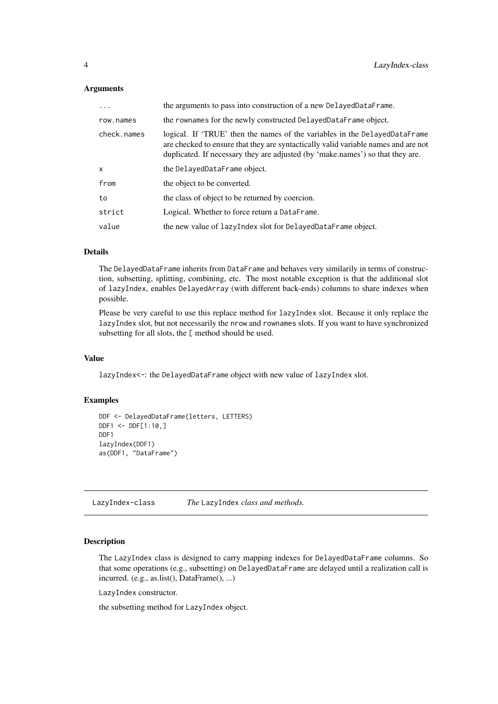#### Arguments

| .            | the arguments to pass into construction of a new DelayedDataFrame.                                                                                                                                                                                 |
|--------------|----------------------------------------------------------------------------------------------------------------------------------------------------------------------------------------------------------------------------------------------------|
| row.names    | the rownames for the newly constructed DelayedDataFrame object.                                                                                                                                                                                    |
| check.names  | logical. If 'TRUE' then the names of the variables in the DelayedDataFrame<br>are checked to ensure that they are syntactically valid variable names and are not<br>duplicated. If necessary they are adjusted (by 'make.names') so that they are. |
| $\mathsf{x}$ | the DelayedDataFrame object.                                                                                                                                                                                                                       |
| from         | the object to be converted.                                                                                                                                                                                                                        |
| to           | the class of object to be returned by coercion.                                                                                                                                                                                                    |
| strict       | Logical. Whether to force return a DataFrame.                                                                                                                                                                                                      |
| value        | the new value of lazyIndex slot for DelayedDataFrame object.                                                                                                                                                                                       |
|              |                                                                                                                                                                                                                                                    |

#### Details

The DelayedDataFrame inherits from DataFrame and behaves very similarily in terms of construction, subsetting, splitting, combining, etc. The most notable exception is that the additional slot of lazyIndex, enables DelayedArray (with different back-ends) columns to share indexes when possible.

Please be very careful to use this replace method for lazyIndex slot. Because it only replace the lazyIndex slot, but not necessarily the nrow and rownames slots. If you want to have synchronized subsetting for all slots, the [ method should be used.

#### Value

lazyIndex<-: the DelayedDataFrame object with new value of lazyIndex slot.

#### Examples

```
DDF <- DelayedDataFrame(letters, LETTERS)
DDF1 <- DDF[1:10,]
DDF<sub>1</sub>
lazyIndex(DDF1)
as(DDF1, "DataFrame")
```
LazyIndex-class *The* LazyIndex *class and methods.*

#### Description

The LazyIndex class is designed to carry mapping indexes for DelayedDataFrame columns. So that some operations (e.g., subsetting) on DelayedDataFrame are delayed until a realization call is incurred. (e.g., as.list(), DataFrame(), ...)

LazyIndex constructor.

the subsetting method for LazyIndex object.

<span id="page-3-0"></span>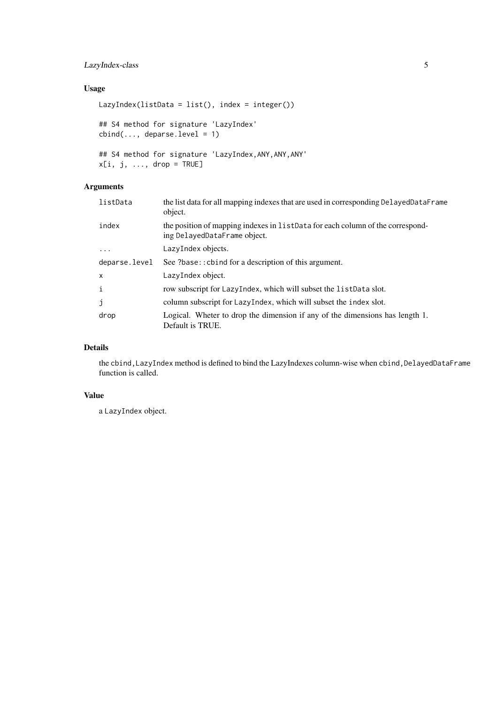#### LazyIndex-class 5

#### Usage

```
LazyIndex(listData = list(), index = integer())
## S4 method for signature 'LazyIndex'
cbind(..., deparse.level = 1)## S4 method for signature 'LazyIndex,ANY,ANY,ANY'
x[i, j, ..., drop = TRUE]
```
#### Arguments

| listData      | the list data for all mapping indexes that are used in corresponding DelayedDataFrame<br>object.                |
|---------------|-----------------------------------------------------------------------------------------------------------------|
| index         | the position of mapping indexes in list Data for each column of the correspond-<br>ing DelayedDataFrame object. |
| $\ddots$      | LazyIndex objects.                                                                                              |
| deparse.level | See ?base:: cbind for a description of this argument.                                                           |
| $\mathsf{x}$  | LazyIndex object.                                                                                               |
| $\mathbf{i}$  | row subscript for LazyIndex, which will subset the listData slot.                                               |
| j             | column subscript for LazyIndex, which will subset the index slot.                                               |
| drop          | Logical. Wheter to drop the dimension if any of the dimensions has length 1.<br>Default is TRUE.                |

#### Details

the cbind, LazyIndex method is defined to bind the LazyIndexes column-wise when cbind, DelayedDataFrame function is called.

#### Value

a LazyIndex object.